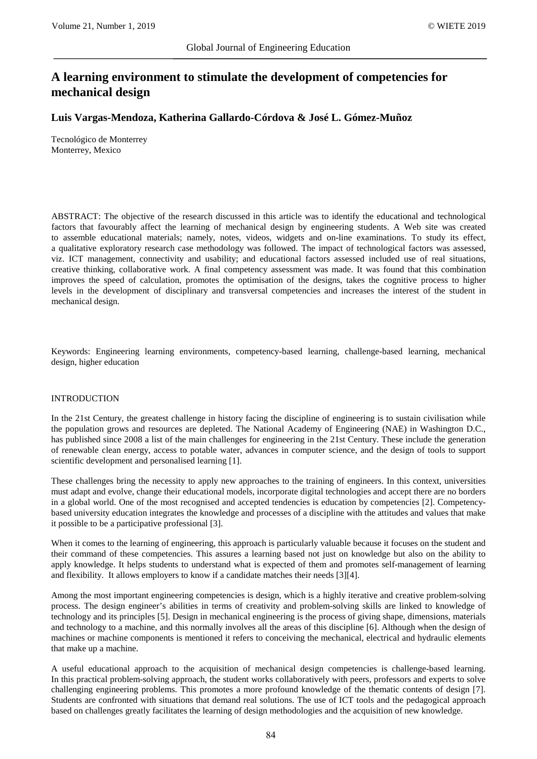# **A learning environment to stimulate the development of competencies for mechanical design**

# **Luis Vargas-Mendoza, Katherina Gallardo-Córdova & José L. Gómez-Muñoz**

Tecnológico de Monterrey Monterrey, Mexico

ABSTRACT: The objective of the research discussed in this article was to identify the educational and technological factors that favourably affect the learning of mechanical design by engineering students. A Web site was created to assemble educational materials; namely, notes, videos, widgets and on-line examinations. To study its effect, a qualitative exploratory research case methodology was followed. The impact of technological factors was assessed, viz. ICT management, connectivity and usability; and educational factors assessed included use of real situations, creative thinking, collaborative work. A final competency assessment was made. It was found that this combination improves the speed of calculation, promotes the optimisation of the designs, takes the cognitive process to higher levels in the development of disciplinary and transversal competencies and increases the interest of the student in mechanical design.

Keywords: Engineering learning environments, competency-based learning, challenge-based learning, mechanical design, higher education

#### INTRODUCTION

In the 21st Century, the greatest challenge in history facing the discipline of engineering is to sustain civilisation while the population grows and resources are depleted. The National Academy of Engineering (NAE) in Washington D.C., has published since 2008 a list of the main challenges for engineering in the 21st Century. These include the generation of renewable clean energy, access to potable water, advances in computer science, and the design of tools to support scientific development and personalised learning [1].

These challenges bring the necessity to apply new approaches to the training of engineers. In this context, universities must adapt and evolve, change their educational models, incorporate digital technologies and accept there are no borders in a global world. One of the most recognised and accepted tendencies is education by competencies [2]. Competencybased university education integrates the knowledge and processes of a discipline with the attitudes and values that make it possible to be a participative professional [3].

When it comes to the learning of engineering, this approach is particularly valuable because it focuses on the student and their command of these competencies. This assures a learning based not just on knowledge but also on the ability to apply knowledge. It helps students to understand what is expected of them and promotes self-management of learning and flexibility. It allows employers to know if a candidate matches their needs [3][4].

Among the most important engineering competencies is design, which is a highly iterative and creative problem-solving process. The design engineer's abilities in terms of creativity and problem-solving skills are linked to knowledge of technology and its principles [5]. Design in mechanical engineering is the process of giving shape, dimensions, materials and technology to a machine, and this normally involves all the areas of this discipline [6]. Although when the design of machines or machine components is mentioned it refers to conceiving the mechanical, electrical and hydraulic elements that make up a machine.

A useful educational approach to the acquisition of mechanical design competencies is challenge-based learning. In this practical problem-solving approach, the student works collaboratively with peers, professors and experts to solve challenging engineering problems. This promotes a more profound knowledge of the thematic contents of design [7]. Students are confronted with situations that demand real solutions. The use of ICT tools and the pedagogical approach based on challenges greatly facilitates the learning of design methodologies and the acquisition of new knowledge.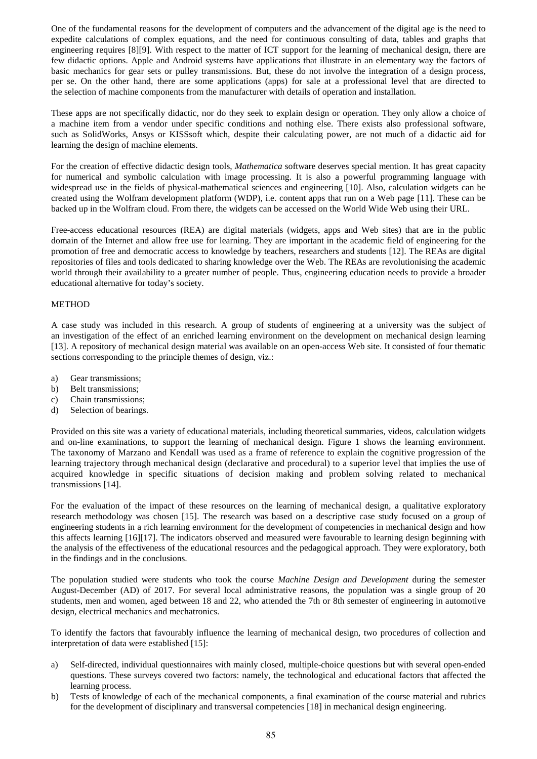One of the fundamental reasons for the development of computers and the advancement of the digital age is the need to expedite calculations of complex equations, and the need for continuous consulting of data, tables and graphs that engineering requires [8][9]. With respect to the matter of ICT support for the learning of mechanical design, there are few didactic options. Apple and Android systems have applications that illustrate in an elementary way the factors of basic mechanics for gear sets or pulley transmissions. But, these do not involve the integration of a design process, per se. On the other hand, there are some applications (apps) for sale at a professional level that are directed to the selection of machine components from the manufacturer with details of operation and installation.

These apps are not specifically didactic, nor do they seek to explain design or operation. They only allow a choice of a machine item from a vendor under specific conditions and nothing else. There exists also professional software, such as SolidWorks, Ansys or KISSsoft which, despite their calculating power, are not much of a didactic aid for learning the design of machine elements.

For the creation of effective didactic design tools, *Mathematica* software deserves special mention. It has great capacity for numerical and symbolic calculation with image processing. It is also a powerful programming language with widespread use in the fields of physical-mathematical sciences and engineering [10]. Also, calculation widgets can be created using the Wolfram development platform (WDP), i.e. content apps that run on a Web page [11]. These can be backed up in the Wolfram cloud. From there, the widgets can be accessed on the World Wide Web using their URL.

Free-access educational resources (REA) are digital materials (widgets, apps and Web sites) that are in the public domain of the Internet and allow free use for learning. They are important in the academic field of engineering for the promotion of free and democratic access to knowledge by teachers, researchers and students [12]. The REAs are digital repositories of files and tools dedicated to sharing knowledge over the Web. The REAs are revolutionising the academic world through their availability to a greater number of people. Thus, engineering education needs to provide a broader educational alternative for today's society.

## METHOD

A case study was included in this research. A group of students of engineering at a university was the subject of an investigation of the effect of an enriched learning environment on the development on mechanical design learning [13]. A repository of mechanical design material was available on an open-access Web site. It consisted of four thematic sections corresponding to the principle themes of design, viz.:

- a) Gear transmissions;
- b) Belt transmissions;
- c) Chain transmissions;
- d) Selection of bearings.

Provided on this site was a variety of educational materials, including theoretical summaries, videos, calculation widgets and on-line examinations, to support the learning of mechanical design. Figure 1 shows the learning environment. The taxonomy of Marzano and Kendall was used as a frame of reference to explain the cognitive progression of the learning trajectory through mechanical design (declarative and procedural) to a superior level that implies the use of acquired knowledge in specific situations of decision making and problem solving related to mechanical transmissions [14].

For the evaluation of the impact of these resources on the learning of mechanical design, a qualitative exploratory research methodology was chosen [15]. The research was based on a descriptive case study focused on a group of engineering students in a rich learning environment for the development of competencies in mechanical design and how this affects learning [16][17]. The indicators observed and measured were favourable to learning design beginning with the analysis of the effectiveness of the educational resources and the pedagogical approach. They were exploratory, both in the findings and in the conclusions.

The population studied were students who took the course *Machine Design and Development* during the semester August-December (AD) of 2017. For several local administrative reasons, the population was a single group of 20 students, men and women, aged between 18 and 22, who attended the 7th or 8th semester of engineering in automotive design, electrical mechanics and mechatronics.

To identify the factors that favourably influence the learning of mechanical design, two procedures of collection and interpretation of data were established [15]:

- a) Self-directed, individual questionnaires with mainly closed, multiple-choice questions but with several open-ended questions. These surveys covered two factors: namely, the technological and educational factors that affected the learning process.
- b) Tests of knowledge of each of the mechanical components, a final examination of the course material and rubrics for the development of disciplinary and transversal competencies [18] in mechanical design engineering.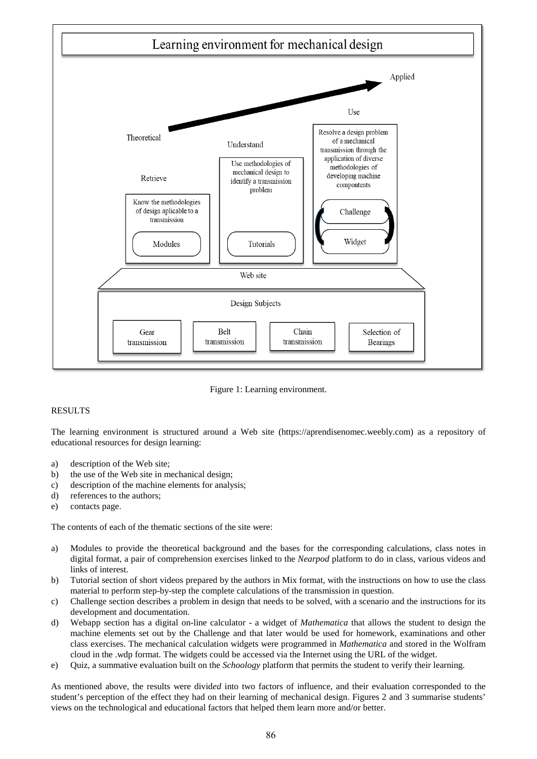

Figure 1: Learning environment.

## RESULTS

The learning environment is structured around a Web site (https://aprendisenomec.weebly.com) as a repository of educational resources for design learning:

- a) description of the Web site;
- b) the use of the Web site in mechanical design;
- c) description of the machine elements for analysis;
- d) references to the authors;
- e) contacts page.

The contents of each of the thematic sections of the site were:

- a) Modules to provide the theoretical background and the bases for the corresponding calculations, class notes in digital format, a pair of comprehension exercises linked to the *Nearpod* platform to do in class, various videos and links of interest.
- b) Tutorial section of short videos prepared by the authors in Mix format, with the instructions on how to use the class material to perform step-by-step the complete calculations of the transmission in question.
- c) Challenge section describes a problem in design that needs to be solved, with a scenario and the instructions for its development and documentation.
- d) Webapp section has a digital on-line calculator a widget of *Mathematica* that allows the student to design the machine elements set out by the Challenge and that later would be used for homework, examinations and other class exercises. The mechanical calculation widgets were programmed in *Mathematica* and stored in the Wolfram cloud in the .wdp format. The widgets could be accessed via the Internet using the URL of the widget.
- e) Quiz, a summative evaluation built on the *Schoology* platform that permits the student to verify their learning.

As mentioned above, the results were divid*ed* into two factors of influence, and their evaluation corresponded to the student's perception of the effect they had on their learning of mechanical design. Figures 2 and 3 summarise students' views on the technological and educational factors that helped them learn more and/or better.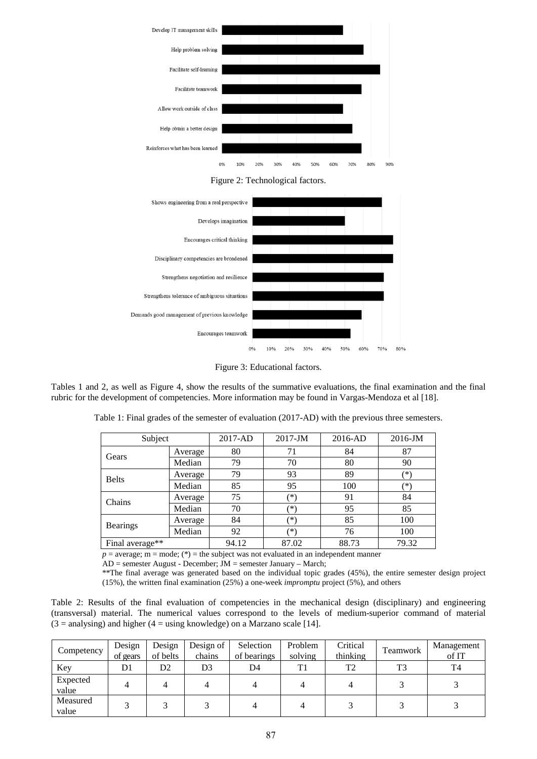

Figure 2: Technological factors.





Tables 1 and 2, as well as Figure 4, show the results of the summative evaluations, the final examination and the final rubric for the development of competencies. More information may be found in Vargas-Mendoza et al [18].

| Table 1: Final grades of the semester of evaluation (2017-AD) with the previous three semesters. |  |  |  |  |  |  |  |  |  |  |  |
|--------------------------------------------------------------------------------------------------|--|--|--|--|--|--|--|--|--|--|--|
|--------------------------------------------------------------------------------------------------|--|--|--|--|--|--|--|--|--|--|--|

| Subject         |         | $2017-JM$<br>2017-AD |        | 2016-AD | 2016-JM |
|-----------------|---------|----------------------|--------|---------|---------|
| Gears           | Average | 80                   | 71     | 84      | 87      |
|                 | Median  | 79                   | 70     | 80      | 90      |
| <b>Belts</b>    | Average | 79                   | 93     | 89      | (*`     |
|                 | Median  | 85                   | 95     | 100     | (*`     |
| Chains          | Average | 75                   | $\ast$ | 91      | 84      |
|                 | Median  | 70                   | (*)    | 95      | 85      |
| <b>Bearings</b> | Average | 84                   | $(*)$  | 85      | 100     |
|                 | Median  | 92                   | ′*`    | 76      | 100     |
| Final average** |         | 94.12                | 87.02  | 88.73   | 79.32   |

 $p =$  average; m = mode; (\*) = the subject was not evaluated in an independent manner

 $AD =$  semester August - December;  $JM =$  semester January – March;

\*\*The final average was generated based on the individual topic grades (45%), the entire semester design project (15%), the written final examination (25%) a one-week *impromptu* project (5%), and others

Table 2: Results of the final evaluation of competencies in the mechanical design (disciplinary) and engineering (transversal) material. The numerical values correspond to the levels of medium-superior command of material  $(3 =$  analysing) and higher  $(4 =$  using knowledge) on a Marzano scale [14].

| Competency        | Design<br>of gears | Design<br>of belts | Design of<br>chains | Selection<br>of bearings | Problem<br>solving | Critical<br>thinking | Teamwork | Management<br>of IT |
|-------------------|--------------------|--------------------|---------------------|--------------------------|--------------------|----------------------|----------|---------------------|
| Key               | D1                 | D <sub>2</sub>     | D3                  | D4                       | T1                 | T2                   | T3       | T4                  |
| Expected<br>value |                    | 4                  | 4                   |                          |                    |                      |          |                     |
| Measured<br>value |                    |                    |                     |                          |                    |                      |          |                     |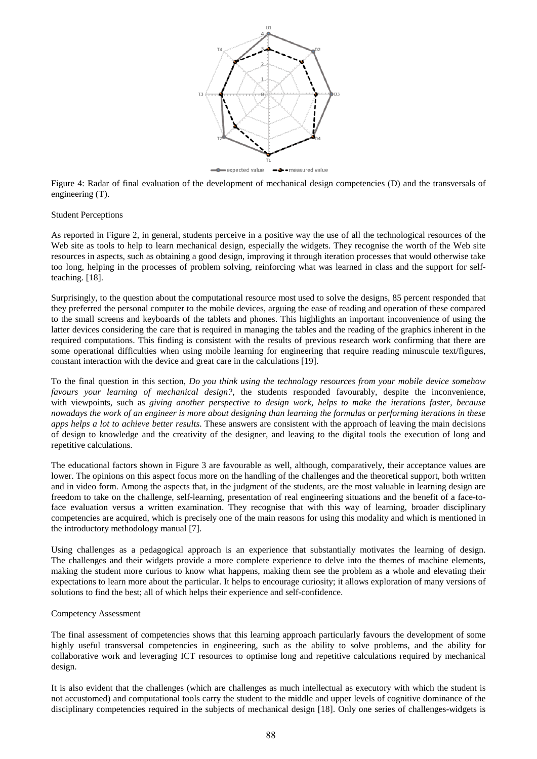

Figure 4: Radar of final evaluation of the development of mechanical design competencies (D) and the transversals of engineering (T).

#### Student Perceptions

As reported in Figure 2, in general, students perceive in a positive way the use of all the technological resources of the Web site as tools to help to learn mechanical design, especially the widgets. They recognise the worth of the Web site resources in aspects, such as obtaining a good design, improving it through iteration processes that would otherwise take too long, helping in the processes of problem solving, reinforcing what was learned in class and the support for selfteaching. [18].

Surprisingly, to the question about the computational resource most used to solve the designs, 85 percent responded that they preferred the personal computer to the mobile devices, arguing the ease of reading and operation of these compared to the small screens and keyboards of the tablets and phones. This highlights an important inconvenience of using the latter devices considering the care that is required in managing the tables and the reading of the graphics inherent in the required computations. This finding is consistent with the results of previous research work confirming that there are some operational difficulties when using mobile learning for engineering that require reading minuscule text/figures, constant interaction with the device and great care in the calculations [19].

To the final question in this section, *Do you think using the technology resources from your mobile device somehow favours your learning of mechanical design?*, the students responded favourably, despite the inconvenience, with viewpoints, such as *giving another perspective to design work*, *helps to make the iterations faster*, *because nowadays the work of an engineer is more about designing than learning the formulas* or *performing iterations in these apps helps a lot to achieve better results*. These answers are consistent with the approach of leaving the main decisions of design to knowledge and the creativity of the designer, and leaving to the digital tools the execution of long and repetitive calculations.

The educational factors shown in Figure 3 are favourable as well, although, comparatively, their acceptance values are lower. The opinions on this aspect focus more on the handling of the challenges and the theoretical support, both written and in video form. Among the aspects that, in the judgment of the students, are the most valuable in learning design are freedom to take on the challenge, self-learning, presentation of real engineering situations and the benefit of a face-toface evaluation versus a written examination. They recognise that with this way of learning, broader disciplinary competencies are acquired, which is precisely one of the main reasons for using this modality and which is mentioned in the introductory methodology manual [7].

Using challenges as a pedagogical approach is an experience that substantially motivates the learning of design. The challenges and their widgets provide a more complete experience to delve into the themes of machine elements, making the student more curious to know what happens, making them see the problem as a whole and elevating their expectations to learn more about the particular. It helps to encourage curiosity; it allows exploration of many versions of solutions to find the best; all of which helps their experience and self-confidence.

#### Competency Assessment

The final assessment of competencies shows that this learning approach particularly favours the development of some highly useful transversal competencies in engineering, such as the ability to solve problems, and the ability for collaborative work and leveraging ICT resources to optimise long and repetitive calculations required by mechanical design.

It is also evident that the challenges (which are challenges as much intellectual as executory with which the student is not accustomed) and computational tools carry the student to the middle and upper levels of cognitive dominance of the disciplinary competencies required in the subjects of mechanical design [18]. Only one series of challenges-widgets is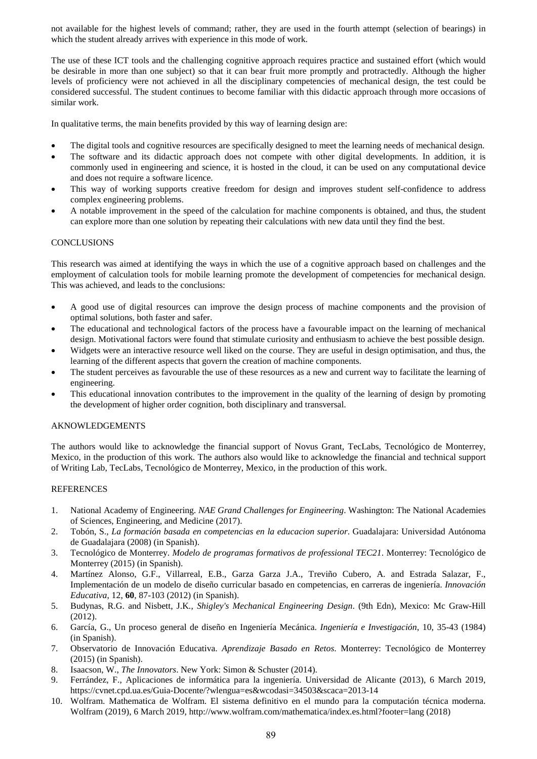not available for the highest levels of command; rather, they are used in the fourth attempt (selection of bearings) in which the student already arrives with experience in this mode of work.

The use of these ICT tools and the challenging cognitive approach requires practice and sustained effort (which would be desirable in more than one subject) so that it can bear fruit more promptly and protractedly. Although the higher levels of proficiency were not achieved in all the disciplinary competencies of mechanical design, the test could be considered successful. The student continues to become familiar with this didactic approach through more occasions of similar work.

In qualitative terms, the main benefits provided by this way of learning design are:

- The digital tools and cognitive resources are specifically designed to meet the learning needs of mechanical design.
- The software and its didactic approach does not compete with other digital developments. In addition, it is commonly used in engineering and science, it is hosted in the cloud, it can be used on any computational device and does not require a software licence.
- This way of working supports creative freedom for design and improves student self-confidence to address complex engineering problems.
- A notable improvement in the speed of the calculation for machine components is obtained, and thus, the student can explore more than one solution by repeating their calculations with new data until they find the best.

# **CONCLUSIONS**

This research was aimed at identifying the ways in which the use of a cognitive approach based on challenges and the employment of calculation tools for mobile learning promote the development of competencies for mechanical design. This was achieved, and leads to the conclusions:

- A good use of digital resources can improve the design process of machine components and the provision of optimal solutions, both faster and safer.
- The educational and technological factors of the process have a favourable impact on the learning of mechanical design. Motivational factors were found that stimulate curiosity and enthusiasm to achieve the best possible design.
- Widgets were an interactive resource well liked on the course. They are useful in design optimisation, and thus, the learning of the different aspects that govern the creation of machine components.
- The student perceives as favourable the use of these resources as a new and current way to facilitate the learning of engineering.
- This educational innovation contributes to the improvement in the quality of the learning of design by promoting the development of higher order cognition, both disciplinary and transversal.

# AKNOWLEDGEMENTS

The authors would like to acknowledge the financial support of Novus Grant, TecLabs, Tecnológico de Monterrey, Mexico, in the production of this work. The authors also would like to acknowledge the financial and technical support of Writing Lab, TecLabs, Tecnológico de Monterrey, Mexico, in the production of this work.

## **REFERENCES**

- 1. National Academy of Engineering. *NAE Grand Challenges for Engineering*. Washington: The National Academies of Sciences, Engineering, and Medicine (2017).
- 2. Tobón, S., *La formación basada en competencias en la educacion superior*. Guadalajara: Universidad Autónoma de Guadalajara (2008) (in Spanish).
- 3. Tecnológico de Monterrey. *Modelo de programas formativos de professional TEC21*. Monterrey: Tecnológico de Monterrey (2015) (in Spanish).
- 4. Martínez Alonso, G.F., Villarreal, E.B., Garza Garza J.A., Treviño Cubero, A. and Estrada Salazar, F., Implementación de un modelo de diseño curricular basado en competencias, en carreras de ingeniería. *Innovación Educativa*, 12, **60**, 87-103 (2012) (in Spanish).
- 5. Budynas, R.G. and Nisbett, J.K*.*, *Shigley's Mechanical Engineering Design*. (9th Edn), Mexico: Mc Graw-Hill (2012).
- 6. García, G., Un proceso general de diseño en Ingeniería Mecánica. *Ingeniería e Investigación*, 10, 35-43 (1984) (in Spanish).
- 7. Observatorio de Innovación Educativa. *Aprendizaje Basado en Retos*. Monterrey: Tecnológico de Monterrey (2015) (in Spanish).
- 8. Isaacson, W., *The Innovators*. New York: Simon & Schuster (2014).
- 9. Ferrández, F., Aplicaciones de informática para la ingeniería. Universidad de Alicante (2013), 6 March 2019, https://cvnet.cpd.ua.es/Guia-Docente/?wlengua=es&wcodasi=34503&scaca=2013-14
- 10. Wolfram. Mathematica de Wolfram. El sistema definitivo en el mundo para la computación técnica moderna. Wolfram (2019), 6 March 2019, http://www.wolfram.com/mathematica/index.es.html?footer=lang (2018)